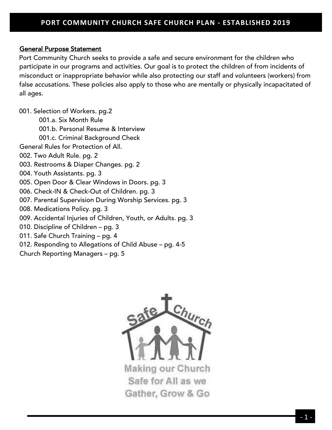## General Purpose Statement

Port Community Church seeks to provide a safe and secure environment for the children who participate in our programs and activities. Our goal is to protect the children of from incidents of misconduct or inappropriate behavior while also protecting our staff and volunteers (workers) from false accusations. These policies also apply to those who are mentally or physically incapacitated of all ages.

001. Selection of Workers. pg.2 001.a. Six Month Rule 001.b. Personal Resume & Interview 001.c. Criminal Background Check General Rules for Protection of All. 002. Two Adult Rule. pg. 2 003. Restrooms & Diaper Changes. pg. 2 004. Youth Assistants. pg. 3 005. Open Door & Clear Windows in Doors. pg. 3 006. Check-IN & Check-Out of Children. pg. 3 007. Parental Supervision During Worship Services. pg. 3 008. Medications Policy. pg. 3 009. Accidental Injuries of Children, Youth, or Adults. pg. 3 010. Discipline of Children – pg. 3 011. Safe Church Training – pg. 4 012. Responding to Allegations of Child Abuse – pg. 4-5 Church Reporting Managers – pg. 5

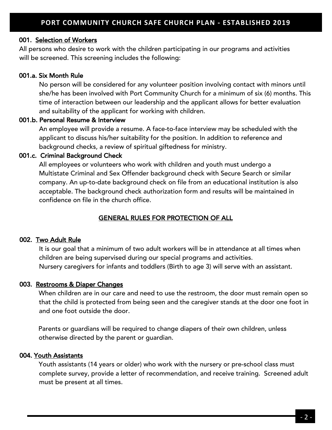#### 001. Selection of Workers

All persons who desire to work with the children participating in our programs and activities will be screened. This screening includes the following:

## 001.a. Six Month Rule

No person will be considered for any volunteer position involving contact with minors until she/he has been involved with Port Community Church for a minimum of six (6) months. This time of interaction between our leadership and the applicant allows for better evaluation and suitability of the applicant for working with children.

#### 001.b. Personal Resume & Interview

An employee will provide a resume. A face-to-face interview may be scheduled with the applicant to discuss his/her suitability for the position. In addition to reference and background checks, a review of spiritual giftedness for ministry.

## 001.c. Criminal Background Check

All employees or volunteers who work with children and youth must undergo a Multistate Criminal and Sex Offender background check with Secure Search or similar company. An up-to-date background check on file from an educational institution is also acceptable. The background check authorization form and results will be maintained in confidence on file in the church office.

# GENERAL RULES FOR PROTECTION OF ALL

# 002. Two Adult Rule

It is our goal that a minimum of two adult workers will be in attendance at all times when children are being supervised during our special programs and activities. Nursery caregivers for infants and toddlers (Birth to age 3) will serve with an assistant.

#### 003. Restrooms & Diaper Changes

When children are in our care and need to use the restroom, the door must remain open so that the child is protected from being seen and the caregiver stands at the door one foot in and one foot outside the door.

Parents or guardians will be required to change diapers of their own children, unless otherwise directed by the parent or guardian.

#### 004. Youth Assistants

Youth assistants (14 years or older) who work with the nursery or pre-school class must complete survey, provide a letter of recommendation, and receive training. Screened adult must be present at all times.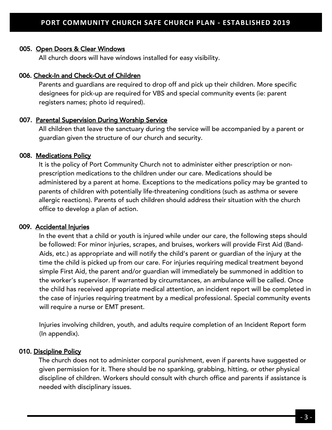#### 005. Open Doors & Clear Windows

All church doors will have windows installed for easy visibility.

#### 006. Check-In and Check-Out of Children

Parents and guardians are required to drop off and pick up their children. More specific designees for pick-up are required for VBS and special community events (ie: parent registers names; photo id required).

#### 007. Parental Supervision During Worship Service

All children that leave the sanctuary during the service will be accompanied by a parent or guardian given the structure of our church and security.

#### 008. Medications Policy

It is the policy of Port Community Church not to administer either prescription or nonprescription medications to the children under our care. Medications should be administered by a parent at home. Exceptions to the medications policy may be granted to parents of children with potentially life-threatening conditions (such as asthma or severe allergic reactions). Parents of such children should address their situation with the church office to develop a plan of action.

#### 009. Accidental Injuries

In the event that a child or youth is injured while under our care, the following steps should be followed: For minor injuries, scrapes, and bruises, workers will provide First Aid (Band-Aids, etc.) as appropriate and will notify the child's parent or guardian of the injury at the time the child is picked up from our care. For injuries requiring medical treatment beyond simple First Aid, the parent and/or guardian will immediately be summoned in addition to the worker's supervisor. If warranted by circumstances, an ambulance will be called. Once the child has received appropriate medical attention, an incident report will be completed in the case of injuries requiring treatment by a medical professional. Special community events will require a nurse or EMT present.

Injuries involving children, youth, and adults require completion of an Incident Report form (In appendix).

#### 010. Discipline Policy

The church does not to administer corporal punishment, even if parents have suggested or given permission for it. There should be no spanking, grabbing, hitting, or other physical discipline of children. Workers should consult with church office and parents if assistance is needed with disciplinary issues.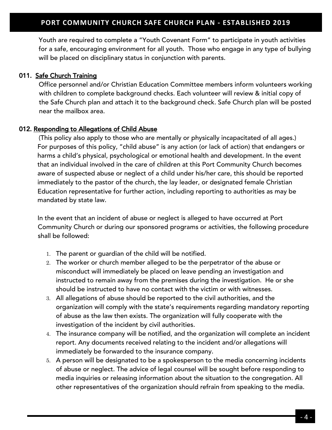Youth are required to complete a "Youth Covenant Form" to participate in youth activities for a safe, encouraging environment for all youth. Those who engage in any type of bullying will be placed on disciplinary status in conjunction with parents.

# 011. Safe Church Training

Office personnel and/or Christian Education Committee members inform volunteers working with children to complete background checks. Each volunteer will review & initial copy of the Safe Church plan and attach it to the background check. Safe Church plan will be posted near the mailbox area.

# 012. Responding to Allegations of Child Abuse

(This policy also apply to those who are mentally or physically incapacitated of all ages.) For purposes of this policy, "child abuse" is any action (or lack of action) that endangers or harms a child's physical, psychological or emotional health and development. In the event that an individual involved in the care of children at this Port Community Church becomes aware of suspected abuse or neglect of a child under his/her care, this should be reported immediately to the pastor of the church, the lay leader, or designated female Christian Education representative for further action, including reporting to authorities as may be mandated by state law.

In the event that an incident of abuse or neglect is alleged to have occurred at Port Community Church or during our sponsored programs or activities, the following procedure shall be followed:

- 1. The parent or guardian of the child will be notified.
- 2. The worker or church member alleged to be the perpetrator of the abuse or misconduct will immediately be placed on leave pending an investigation and instructed to remain away from the premises during the investigation. He or she should be instructed to have no contact with the victim or with witnesses.
- 3. All allegations of abuse should be reported to the civil authorities, and the organization will comply with the state's requirements regarding mandatory reporting of abuse as the law then exists. The organization will fully cooperate with the investigation of the incident by civil authorities.
- 4. The insurance company will be notified, and the organization will complete an incident report. Any documents received relating to the incident and/or allegations will immediately be forwarded to the insurance company.
- 5. A person will be designated to be a spokesperson to the media concerning incidents of abuse or neglect. The advice of legal counsel will be sought before responding to media inquiries or releasing information about the situation to the congregation. All other representatives of the organization should refrain from speaking to the media.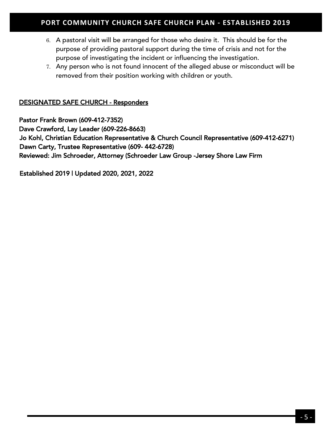## Ξ **PORT COMMUNITY CHURCH SAFE CHURCH PLAN - ESTABLISHED 2019**

- 6. A pastoral visit will be arranged for those who desire it. This should be for the purpose of providing pastoral support during the time of crisis and not for the purpose of investigating the incident or influencing the investigation.
- 7. Any person who is not found innocent of the alleged abuse or misconduct will be removed from their position working with children or youth.

## DESIGNATED SAFE CHURCH - Responders

Pastor Frank Brown (609-412-7352) Dave Crawford, Lay Leader (609-226-8663) Jo Kohl, Christian Education Representative & Church Council Representative (609-412-6271) Dawn Carty, Trustee Representative (609- 442-6728) Reviewed: Jim Schroeder, Attorney (Schroeder Law Group -Jersey Shore Law Firm

Established 2019 | Updated 2020, 2021, 2022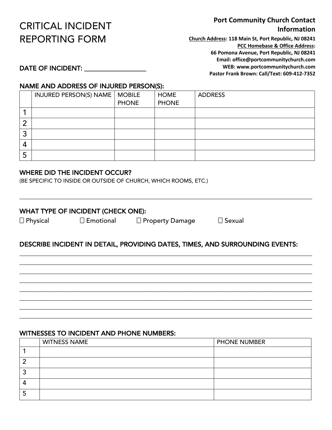# CRITICAL INCIDENT REPORTING FORM

# **Port Community Church Contact Information**

**Church Address: 118 Main St, Port Republic, NJ 08241 PCC Homebase & Office Address: 66 Pomona Avenue, Port Republic, NJ 08241 Email: office@portcommunitychurch.com WEB: www.portcommunitychurch.com Pastor Frank Brown: Call/Text: 609-412-7352**

DATE OF INCIDENT: \_\_\_\_\_\_\_\_\_\_\_\_\_\_\_\_\_\_\_

## NAME AND ADDRESS OF INJURED PERSON(S):

|        | INJURED PERSON(S) NAME | <b>MOBILE</b> | <b>HOME</b>  | <b>ADDRESS</b> |
|--------|------------------------|---------------|--------------|----------------|
|        |                        | <b>PHONE</b>  | <b>PHONE</b> |                |
|        |                        |               |              |                |
| n<br>痴 |                        |               |              |                |
| 3      |                        |               |              |                |
| 4      |                        |               |              |                |
| C      |                        |               |              |                |

#### WHERE DID THE INCIDENT OCCUR?

(BE SPECIFIC TO INSIDE OR OUTSIDE OF CHURCH, WHICH ROOMS, ETC.)

## WHAT TYPE OF INCIDENT (CHECK ONE):

|  | $\Box$ Physical |
|--|-----------------|
|  |                 |

! Physical ! Emotional ! Property Damage ! Sexual

\_\_\_\_\_\_\_\_\_\_\_\_\_\_\_\_\_\_\_\_\_\_\_\_\_\_\_\_\_\_\_\_\_\_\_\_\_\_\_\_\_\_\_\_\_\_\_\_\_\_\_\_\_\_\_\_\_\_\_\_\_\_\_\_\_\_\_\_\_\_\_\_\_\_\_\_\_\_\_\_\_\_\_\_\_\_\_\_\_\_

# DESCRIBE INCIDENT IN DETAIL, PROVIDING DATES, TIMES, AND SURROUNDING EVENTS:

\_\_\_\_\_\_\_\_\_\_\_\_\_\_\_\_\_\_\_\_\_\_\_\_\_\_\_\_\_\_\_\_\_\_\_\_\_\_\_\_\_\_\_\_\_\_\_\_\_\_\_\_\_\_\_\_\_\_\_\_\_\_\_\_\_\_\_\_\_\_\_\_\_\_\_\_\_\_\_\_\_\_\_\_\_\_\_\_\_\_ \_\_\_\_\_\_\_\_\_\_\_\_\_\_\_\_\_\_\_\_\_\_\_\_\_\_\_\_\_\_\_\_\_\_\_\_\_\_\_\_\_\_\_\_\_\_\_\_\_\_\_\_\_\_\_\_\_\_\_\_\_\_\_\_\_\_\_\_\_\_\_\_\_\_\_\_\_\_\_\_\_\_\_\_\_\_\_\_\_\_ \_\_\_\_\_\_\_\_\_\_\_\_\_\_\_\_\_\_\_\_\_\_\_\_\_\_\_\_\_\_\_\_\_\_\_\_\_\_\_\_\_\_\_\_\_\_\_\_\_\_\_\_\_\_\_\_\_\_\_\_\_\_\_\_\_\_\_\_\_\_\_\_\_\_\_\_\_\_\_\_\_\_\_\_\_\_\_\_\_\_ \_\_\_\_\_\_\_\_\_\_\_\_\_\_\_\_\_\_\_\_\_\_\_\_\_\_\_\_\_\_\_\_\_\_\_\_\_\_\_\_\_\_\_\_\_\_\_\_\_\_\_\_\_\_\_\_\_\_\_\_\_\_\_\_\_\_\_\_\_\_\_\_\_\_\_\_\_\_\_\_\_\_\_\_\_\_\_\_\_\_ \_\_\_\_\_\_\_\_\_\_\_\_\_\_\_\_\_\_\_\_\_\_\_\_\_\_\_\_\_\_\_\_\_\_\_\_\_\_\_\_\_\_\_\_\_\_\_\_\_\_\_\_\_\_\_\_\_\_\_\_\_\_\_\_\_\_\_\_\_\_\_\_\_\_\_\_\_\_\_\_\_\_\_\_\_\_\_\_\_\_ \_\_\_\_\_\_\_\_\_\_\_\_\_\_\_\_\_\_\_\_\_\_\_\_\_\_\_\_\_\_\_\_\_\_\_\_\_\_\_\_\_\_\_\_\_\_\_\_\_\_\_\_\_\_\_\_\_\_\_\_\_\_\_\_\_\_\_\_\_\_\_\_\_\_\_\_\_\_\_\_\_\_\_\_\_\_\_\_\_\_ \_\_\_\_\_\_\_\_\_\_\_\_\_\_\_\_\_\_\_\_\_\_\_\_\_\_\_\_\_\_\_\_\_\_\_\_\_\_\_\_\_\_\_\_\_\_\_\_\_\_\_\_\_\_\_\_\_\_\_\_\_\_\_\_\_\_\_\_\_\_\_\_\_\_\_\_\_\_\_\_\_\_\_\_\_\_\_\_\_\_ \_\_\_\_\_\_\_\_\_\_\_\_\_\_\_\_\_\_\_\_\_\_\_\_\_\_\_\_\_\_\_\_\_\_\_\_\_\_\_\_\_\_\_\_\_\_\_\_\_\_\_\_\_\_\_\_\_\_\_\_\_\_\_\_\_\_\_\_\_\_\_\_\_\_\_\_\_\_\_\_\_\_\_\_\_\_\_\_\_\_

#### WITNESSES TO INCIDENT AND PHONE NUMBERS:

| <b>WITNESS NAME</b> | <b>PHONE NUMBER</b> |
|---------------------|---------------------|
|                     |                     |
|                     |                     |
|                     |                     |
|                     |                     |
|                     |                     |